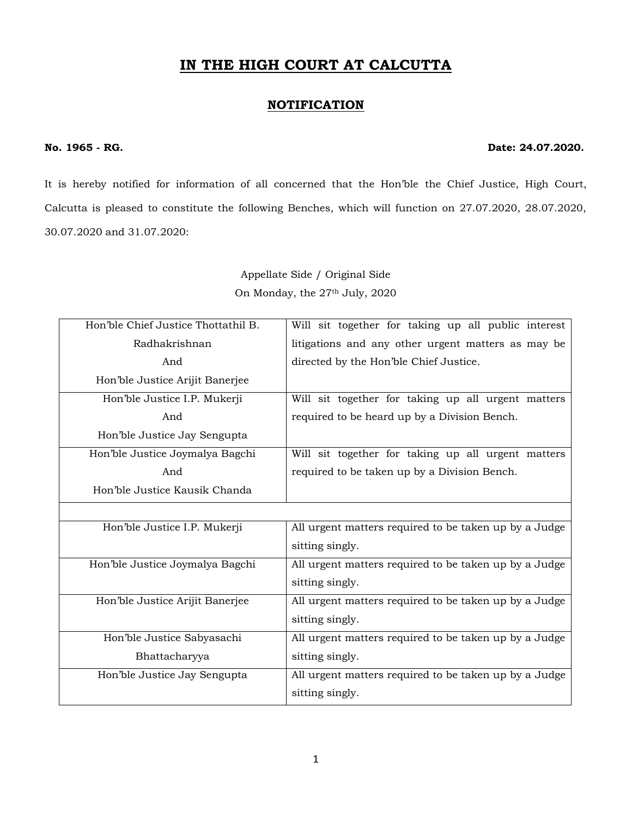# **IN THE HIGH COURT AT CALCUTTA**

## **NOTIFICATION**

### **No. 1965 - RG. Date: 24.07.2020.**

It is hereby notified for information of all concerned that the Hon'ble the Chief Justice, High Court, Calcutta is pleased to constitute the following Benches, which will function on 27.07.2020, 28.07.2020, 30.07.2020 and 31.07.2020:

> Appellate Side / Original Side On Monday, the 27<sup>th</sup> July, 2020

| Hon'ble Chief Justice Thottathil B. | Will sit together for taking up all public interest   |
|-------------------------------------|-------------------------------------------------------|
| Radhakrishnan                       | litigations and any other urgent matters as may be    |
| And                                 | directed by the Hon'ble Chief Justice.                |
| Hon'ble Justice Arijit Banerjee     |                                                       |
| Hon'ble Justice I.P. Mukerji        | Will sit together for taking up all urgent matters    |
| And                                 | required to be heard up by a Division Bench.          |
| Hon'ble Justice Jay Sengupta        |                                                       |
| Hon'ble Justice Joymalya Bagchi     | Will sit together for taking up all urgent matters    |
| And                                 | required to be taken up by a Division Bench.          |
| Hon'ble Justice Kausik Chanda       |                                                       |
|                                     |                                                       |
| Hon'ble Justice I.P. Mukerji        | All urgent matters required to be taken up by a Judge |
|                                     | sitting singly.                                       |
| Hon'ble Justice Joymalya Bagchi     | All urgent matters required to be taken up by a Judge |
|                                     | sitting singly.                                       |
| Hon'ble Justice Arijit Banerjee     | All urgent matters required to be taken up by a Judge |
|                                     | sitting singly.                                       |
| Hon'ble Justice Sabyasachi          | All urgent matters required to be taken up by a Judge |
| Bhattacharyya                       | sitting singly.                                       |
| Hon'ble Justice Jay Sengupta        | All urgent matters required to be taken up by a Judge |
|                                     | sitting singly.                                       |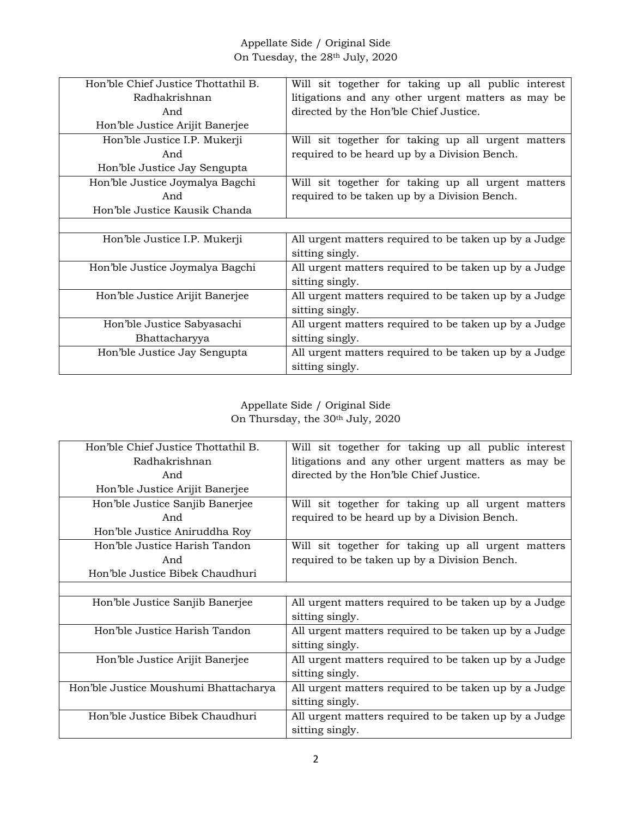Appellate Side / Original Side On Tuesday, the 28th July, 2020

| Hon'ble Chief Justice Thottathil B. | Will sit together for taking up all public interest   |
|-------------------------------------|-------------------------------------------------------|
| Radhakrishnan                       | litigations and any other urgent matters as may be    |
| And                                 | directed by the Hon'ble Chief Justice.                |
| Hon'ble Justice Arijit Banerjee     |                                                       |
| Hon'ble Justice I.P. Mukerji        | Will sit together for taking up all urgent matters    |
| And                                 | required to be heard up by a Division Bench.          |
| Hon'ble Justice Jay Sengupta        |                                                       |
| Hon'ble Justice Joymalya Bagchi     | Will sit together for taking up all urgent matters    |
| And                                 | required to be taken up by a Division Bench.          |
| Hon'ble Justice Kausik Chanda       |                                                       |
|                                     |                                                       |
| Hon'ble Justice I.P. Mukerji        | All urgent matters required to be taken up by a Judge |
|                                     | sitting singly.                                       |
| Hon'ble Justice Joymalya Bagchi     | All urgent matters required to be taken up by a Judge |
|                                     | sitting singly.                                       |
| Hon'ble Justice Arijit Banerjee     | All urgent matters required to be taken up by a Judge |
|                                     | sitting singly.                                       |
| Hon'ble Justice Sabyasachi          | All urgent matters required to be taken up by a Judge |
| Bhattacharyya                       | sitting singly.                                       |
| Hon'ble Justice Jay Sengupta        | All urgent matters required to be taken up by a Judge |
|                                     | sitting singly.                                       |

## Appellate Side / Original Side On Thursday, the 30th July, 2020

| Hon'ble Chief Justice Thottathil B.   | Will sit together for taking up all public interest   |
|---------------------------------------|-------------------------------------------------------|
| Radhakrishnan                         | litigations and any other urgent matters as may be    |
| And                                   | directed by the Hon'ble Chief Justice.                |
| Hon'ble Justice Arijit Banerjee       |                                                       |
| Hon'ble Justice Sanjib Banerjee       | Will sit together for taking up all urgent matters    |
| And                                   | required to be heard up by a Division Bench.          |
| Hon'ble Justice Aniruddha Roy         |                                                       |
| Hon'ble Justice Harish Tandon         | Will sit together for taking up all urgent matters    |
| And                                   | required to be taken up by a Division Bench.          |
| Hon'ble Justice Bibek Chaudhuri       |                                                       |
|                                       |                                                       |
| Hon'ble Justice Sanjib Banerjee       | All urgent matters required to be taken up by a Judge |
|                                       | sitting singly.                                       |
| Hon'ble Justice Harish Tandon         | All urgent matters required to be taken up by a Judge |
|                                       | sitting singly.                                       |
| Hon'ble Justice Arijit Banerjee       | All urgent matters required to be taken up by a Judge |
|                                       | sitting singly.                                       |
| Hon'ble Justice Moushumi Bhattacharya | All urgent matters required to be taken up by a Judge |
|                                       | sitting singly.                                       |
| Hon'ble Justice Bibek Chaudhuri       | All urgent matters required to be taken up by a Judge |
|                                       | sitting singly.                                       |